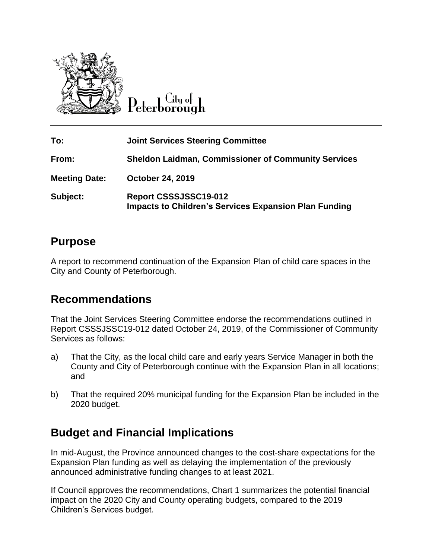

 $C$ ity of Peterborough

| To:                  | <b>Joint Services Steering Committee</b>                                              |
|----------------------|---------------------------------------------------------------------------------------|
| From:                | <b>Sheldon Laidman, Commissioner of Community Services</b>                            |
| <b>Meeting Date:</b> | <b>October 24, 2019</b>                                                               |
| Subject:             | Report CSSSJSSC19-012<br><b>Impacts to Children's Services Expansion Plan Funding</b> |

## **Purpose**

A report to recommend continuation of the Expansion Plan of child care spaces in the City and County of Peterborough.

# **Recommendations**

That the Joint Services Steering Committee endorse the recommendations outlined in Report CSSSJSSC19-012 dated October 24, 2019, of the Commissioner of Community Services as follows:

- a) That the City, as the local child care and early years Service Manager in both the County and City of Peterborough continue with the Expansion Plan in all locations; and
- b) That the required 20% municipal funding for the Expansion Plan be included in the 2020 budget.

# **Budget and Financial Implications**

In mid-August, the Province announced changes to the cost-share expectations for the Expansion Plan funding as well as delaying the implementation of the previously announced administrative funding changes to at least 2021.

If Council approves the recommendations, Chart 1 summarizes the potential financial impact on the 2020 City and County operating budgets, compared to the 2019 Children's Services budget.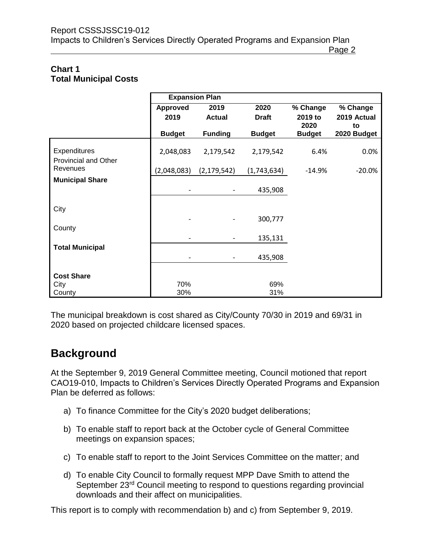#### **Chart 1 Total Municipal Costs**

|                        | <b>Expansion Plan</b>        |                |               |                       |                   |
|------------------------|------------------------------|----------------|---------------|-----------------------|-------------------|
|                        | <b>Approved</b>              | 2019           | 2020          | % Change              | % Change          |
|                        | 2019                         | <b>Actual</b>  | <b>Draft</b>  | 2019 to               | 2019 Actual       |
|                        | <b>Budget</b>                | <b>Funding</b> | <b>Budget</b> | 2020<br><b>Budget</b> | to<br>2020 Budget |
|                        |                              |                |               |                       |                   |
| Expenditures           | 2,048,083                    | 2,179,542      | 2,179,542     | 6.4%                  | 0.0%              |
| Provincial and Other   |                              |                |               |                       |                   |
| Revenues               | (2,048,083)                  | (2, 179, 542)  | (1,743,634)   | $-14.9%$              | $-20.0%$          |
| <b>Municipal Share</b> |                              |                |               |                       |                   |
|                        |                              |                | 435,908       |                       |                   |
|                        |                              |                |               |                       |                   |
| City                   |                              |                |               |                       |                   |
|                        |                              |                | 300,777       |                       |                   |
| County                 |                              |                |               |                       |                   |
|                        |                              |                | 135,131       |                       |                   |
| <b>Total Municipal</b> |                              |                |               |                       |                   |
|                        | $\qquad \qquad \blacksquare$ |                | 435,908       |                       |                   |
| <b>Cost Share</b>      |                              |                |               |                       |                   |
| City                   | 70%                          |                | 69%           |                       |                   |
| County                 | 30%                          |                | 31%           |                       |                   |

The municipal breakdown is cost shared as City/County 70/30 in 2019 and 69/31 in 2020 based on projected childcare licensed spaces.

## **Background**

At the September 9, 2019 General Committee meeting, Council motioned that report CAO19-010, Impacts to Children's Services Directly Operated Programs and Expansion Plan be deferred as follows:

- a) To finance Committee for the City's 2020 budget deliberations;
- b) To enable staff to report back at the October cycle of General Committee meetings on expansion spaces;
- c) To enable staff to report to the Joint Services Committee on the matter; and
- d) To enable City Council to formally request MPP Dave Smith to attend the September 23<sup>rd</sup> Council meeting to respond to questions regarding provincial downloads and their affect on municipalities.

This report is to comply with recommendation b) and c) from September 9, 2019.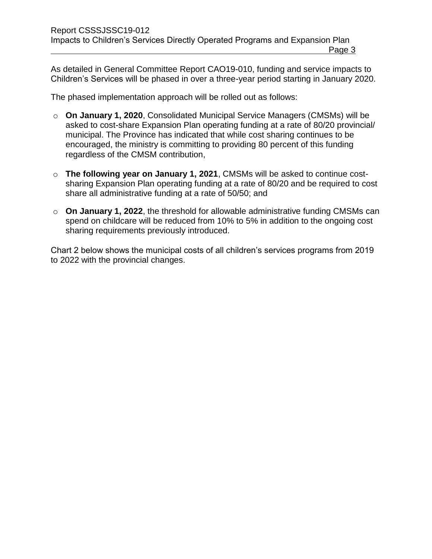As detailed in General Committee Report CAO19-010, funding and service impacts to Children's Services will be phased in over a three-year period starting in January 2020.

The phased implementation approach will be rolled out as follows:

- o **On January 1, 2020**, Consolidated Municipal Service Managers (CMSMs) will be asked to cost-share Expansion Plan operating funding at a rate of 80/20 provincial/ municipal. The Province has indicated that while cost sharing continues to be encouraged, the ministry is committing to providing 80 percent of this funding regardless of the CMSM contribution,
- o **The following year on January 1, 2021**, CMSMs will be asked to continue costsharing Expansion Plan operating funding at a rate of 80/20 and be required to cost share all administrative funding at a rate of 50/50; and
- o **On January 1, 2022**, the threshold for allowable administrative funding CMSMs can spend on childcare will be reduced from 10% to 5% in addition to the ongoing cost sharing requirements previously introduced.

Chart 2 below shows the municipal costs of all children's services programs from 2019 to 2022 with the provincial changes.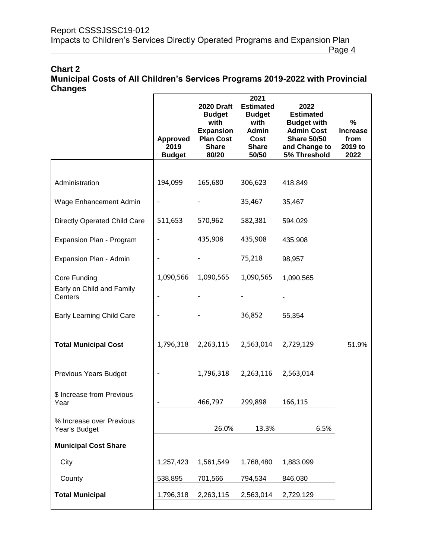### **Chart 2 Municipal Costs of All Children's Services Programs 2019-2022 with Provincial Changes**

|                                           | <b>Approved</b><br>2019<br><b>Budget</b> | <b>2020 Draft</b><br><b>Budget</b><br>with<br><b>Expansion</b><br><b>Plan Cost</b><br><b>Share</b><br>80/20 | 2021<br><b>Estimated</b><br><b>Budget</b><br>with<br><b>Admin</b><br>Cost<br><b>Share</b><br>50/50 | 2022<br><b>Estimated</b><br><b>Budget with</b><br><b>Admin Cost</b><br><b>Share 50/50</b><br>and Change to<br>5% Threshold | %<br><b>Increase</b><br>from<br>2019 to<br>2022 |
|-------------------------------------------|------------------------------------------|-------------------------------------------------------------------------------------------------------------|----------------------------------------------------------------------------------------------------|----------------------------------------------------------------------------------------------------------------------------|-------------------------------------------------|
|                                           |                                          |                                                                                                             |                                                                                                    |                                                                                                                            |                                                 |
| Administration                            | 194,099                                  | 165,680                                                                                                     | 306,623                                                                                            | 418,849                                                                                                                    |                                                 |
| Wage Enhancement Admin                    |                                          |                                                                                                             | 35,467                                                                                             | 35,467                                                                                                                     |                                                 |
| Directly Operated Child Care              | 511,653                                  | 570,962                                                                                                     | 582,381                                                                                            | 594,029                                                                                                                    |                                                 |
| Expansion Plan - Program                  |                                          | 435,908                                                                                                     | 435,908                                                                                            | 435,908                                                                                                                    |                                                 |
| Expansion Plan - Admin                    |                                          |                                                                                                             | 75,218                                                                                             | 98,957                                                                                                                     |                                                 |
| Core Funding                              | 1,090,566                                | 1,090,565                                                                                                   | 1,090,565                                                                                          | 1,090,565                                                                                                                  |                                                 |
| Early on Child and Family<br>Centers      |                                          |                                                                                                             |                                                                                                    |                                                                                                                            |                                                 |
| <b>Early Learning Child Care</b>          |                                          |                                                                                                             | 36,852                                                                                             | 55,354                                                                                                                     |                                                 |
| <b>Total Municipal Cost</b>               | 1,796,318                                | 2,263,115                                                                                                   | 2,563,014                                                                                          | 2,729,129                                                                                                                  | 51.9%                                           |
| <b>Previous Years Budget</b>              |                                          | 1,796,318                                                                                                   | 2,263,116                                                                                          | 2,563,014                                                                                                                  |                                                 |
| \$ Increase from Previous<br>Year         |                                          | 466,797                                                                                                     | 299,898                                                                                            | 166,115                                                                                                                    |                                                 |
| % Increase over Previous<br>Year's Budget |                                          | 26.0%                                                                                                       | 13.3%                                                                                              | 6.5%                                                                                                                       |                                                 |
| <b>Municipal Cost Share</b>               |                                          |                                                                                                             |                                                                                                    |                                                                                                                            |                                                 |
| City                                      | 1,257,423                                | 1,561,549                                                                                                   | 1,768,480                                                                                          | 1,883,099                                                                                                                  |                                                 |
| County                                    | 538,895                                  | 701,566                                                                                                     | 794,534                                                                                            | 846,030                                                                                                                    |                                                 |
| <b>Total Municipal</b>                    | 1,796,318                                | 2,263,115                                                                                                   | 2,563,014                                                                                          | 2,729,129                                                                                                                  |                                                 |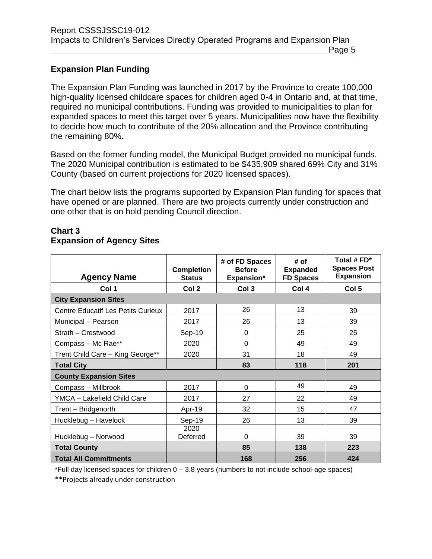### **Expansion Plan Funding**

The Expansion Plan Funding was launched in 2017 by the Province to create 100,000 high-quality licensed childcare spaces for children aged 0-4 in Ontario and, at that time, required no municipal contributions. Funding was provided to municipalities to plan for expanded spaces to meet this target over 5 years. Municipalities now have the flexibility to decide how much to contribute of the 20% allocation and the Province contributing the remaining 80%.

Based on the former funding model, the Municipal Budget provided no municipal funds. The 2020 Municipal contribution is estimated to be \$435,909 shared 69% City and 31% County (based on current projections for 2020 licensed spaces).

The chart below lists the programs supported by Expansion Plan funding for spaces that have opened or are planned. There are two projects currently under construction and one other that is on hold pending Council direction.

### **Chart 3 Expansion of Agency Sites**

| <b>Agency Name</b>                        | <b>Completion</b><br><b>Status</b> | # of FD Spaces<br><b>Before</b><br><b>Expansion*</b> | # of<br><b>Expanded</b><br><b>FD Spaces</b> | Total # FD*<br><b>Spaces Post</b><br><b>Expansion</b> |
|-------------------------------------------|------------------------------------|------------------------------------------------------|---------------------------------------------|-------------------------------------------------------|
| Col 1                                     | Col <sub>2</sub>                   | Col 3                                                | Col 4                                       | Col <sub>5</sub>                                      |
| <b>City Expansion Sites</b>               |                                    |                                                      |                                             |                                                       |
| <b>Centre Educatif Les Petits Curieux</b> | 2017                               | 26                                                   | 13                                          | 39                                                    |
| Municipal - Pearson                       | 2017                               | 26                                                   | 13                                          | 39                                                    |
| Strath - Crestwood                        | Sep-19                             | 0                                                    | 25                                          | 25                                                    |
| Compass - Mc Rae**                        | 2020                               | 0                                                    | 49                                          | 49                                                    |
| Trent Child Care - King George**          | 2020                               | 31                                                   | 18                                          | 49                                                    |
| <b>Total City</b>                         |                                    | 83                                                   | 118                                         | 201                                                   |
| <b>County Expansion Sites</b>             |                                    |                                                      |                                             |                                                       |
| Compass - Millbrook                       | 2017                               | 0                                                    | 49                                          | 49                                                    |
| YMCA - Lakefield Child Care               | 2017                               | 27                                                   | 22                                          | 49                                                    |
| Trent - Bridgenorth                       | Apr-19                             | 32                                                   | 15                                          | 47                                                    |
| Hucklebug - Havelock                      | Sep-19                             | 26                                                   | 13                                          | 39                                                    |
| Hucklebug - Norwood                       | 2020<br>Deferred                   | 0                                                    | 39                                          | 39                                                    |
| <b>Total County</b>                       |                                    | 85                                                   | 138                                         | 223                                                   |
| <b>Total All Commitments</b>              |                                    | 168                                                  | 256                                         | 424                                                   |

\*Full day licensed spaces for children 0 – 3.8 years (numbers to not include school-age spaces)

\*\*Projects already under construction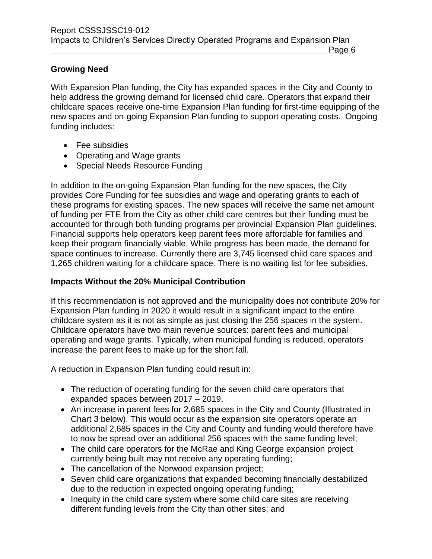## **Growing Need**

With Expansion Plan funding, the City has expanded spaces in the City and County to help address the growing demand for licensed child care. Operators that expand their childcare spaces receive one-time Expansion Plan funding for first-time equipping of the new spaces and on-going Expansion Plan funding to support operating costs. Ongoing funding includes:

- Fee subsidies
- Operating and Wage grants
- Special Needs Resource Funding

In addition to the on-going Expansion Plan funding for the new spaces, the City provides Core Funding for fee subsidies and wage and operating grants to each of these programs for existing spaces. The new spaces will receive the same net amount of funding per FTE from the City as other child care centres but their funding must be accounted for through both funding programs per provincial Expansion Plan guidelines. Financial supports help operators keep parent fees more affordable for families and keep their program financially viable. While progress has been made, the demand for space continues to increase. Currently there are 3,745 licensed child care spaces and 1,265 children waiting for a childcare space. There is no waiting list for fee subsidies.

## **Impacts Without the 20% Municipal Contribution**

If this recommendation is not approved and the municipality does not contribute 20% for Expansion Plan funding in 2020 it would result in a significant impact to the entire childcare system as it is not as simple as just closing the 256 spaces in the system. Childcare operators have two main revenue sources: parent fees and municipal operating and wage grants. Typically, when municipal funding is reduced, operators increase the parent fees to make up for the short fall.

A reduction in Expansion Plan funding could result in:

- The reduction of operating funding for the seven child care operators that expanded spaces between 2017 – 2019.
- An increase in parent fees for 2,685 spaces in the City and County (Illustrated in Chart 3 below). This would occur as the expansion site operators operate an additional 2,685 spaces in the City and County and funding would therefore have to now be spread over an additional 256 spaces with the same funding level;
- The child care operators for the McRae and King George expansion project currently being built may not receive any operating funding;
- The cancellation of the Norwood expansion project;
- Seven child care organizations that expanded becoming financially destabilized due to the reduction in expected ongoing operating funding;
- Inequity in the child care system where some child care sites are receiving different funding levels from the City than other sites; and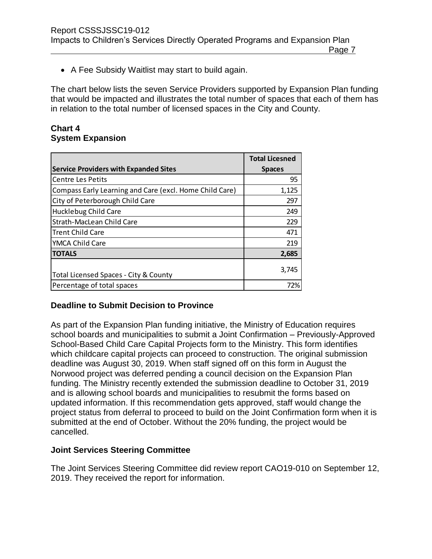A Fee Subsidy Waitlist may start to build again.

The chart below lists the seven Service Providers supported by Expansion Plan funding that would be impacted and illustrates the total number of spaces that each of them has in relation to the total number of licensed spaces in the City and County.

### **Chart 4 System Expansion**

|                                                         | <b>Total Licesned</b> |
|---------------------------------------------------------|-----------------------|
| <b>Service Providers with Expanded Sites</b>            | <b>Spaces</b>         |
| <b>Centre Les Petits</b>                                | 95                    |
| Compass Early Learning and Care (excl. Home Child Care) | 1,125                 |
| City of Peterborough Child Care                         | 297                   |
| <b>Hucklebug Child Care</b>                             | 249                   |
| Strath-MacLean Child Care                               | 229                   |
| Trent Child Care                                        | 471                   |
| YMCA Child Care                                         | 219                   |
| <b>TOTALS</b>                                           | 2,685                 |
| Total Licensed Spaces - City & County                   | 3,745                 |
| Percentage of total spaces                              | 72%                   |

## **Deadline to Submit Decision to Province**

As part of the Expansion Plan funding initiative, the Ministry of Education requires school boards and municipalities to submit a Joint Confirmation – Previously-Approved School-Based Child Care Capital Projects form to the Ministry. This form identifies which childcare capital projects can proceed to construction. The original submission deadline was August 30, 2019. When staff signed off on this form in August the Norwood project was deferred pending a council decision on the Expansion Plan funding. The Ministry recently extended the submission deadline to October 31, 2019 and is allowing school boards and municipalities to resubmit the forms based on updated information. If this recommendation gets approved, staff would change the project status from deferral to proceed to build on the Joint Confirmation form when it is submitted at the end of October. Without the 20% funding, the project would be cancelled.

## **Joint Services Steering Committee**

The Joint Services Steering Committee did review report CAO19-010 on September 12, 2019. They received the report for information.